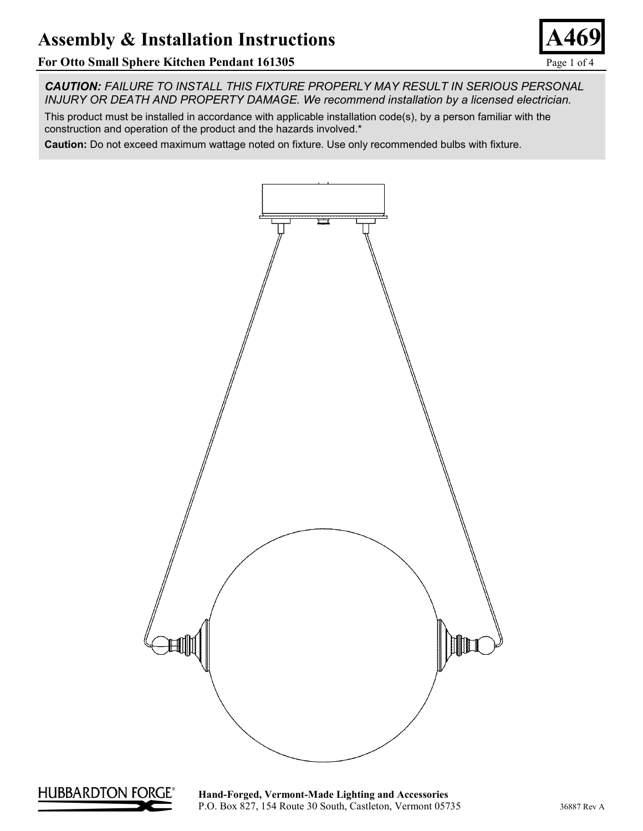### **For Otto Small Sphere Kitchen Pendant 161305** Page 1 of 4

*CAUTION: FAILURE TO INSTALL THIS FIXTURE PROPERLY MAY RESULT IN SERIOUS PERSONAL INJURY OR DEATH AND PROPERTY DAMAGE. We recommend installation by a licensed electrician.*

This product must be installed in accordance with applicable installation code(s), by a person familiar with the construction and operation of the product and the hazards involved.\*

**Caution:** Do not exceed maximum wattage noted on fixture. Use only recommended bulbs with fixture.





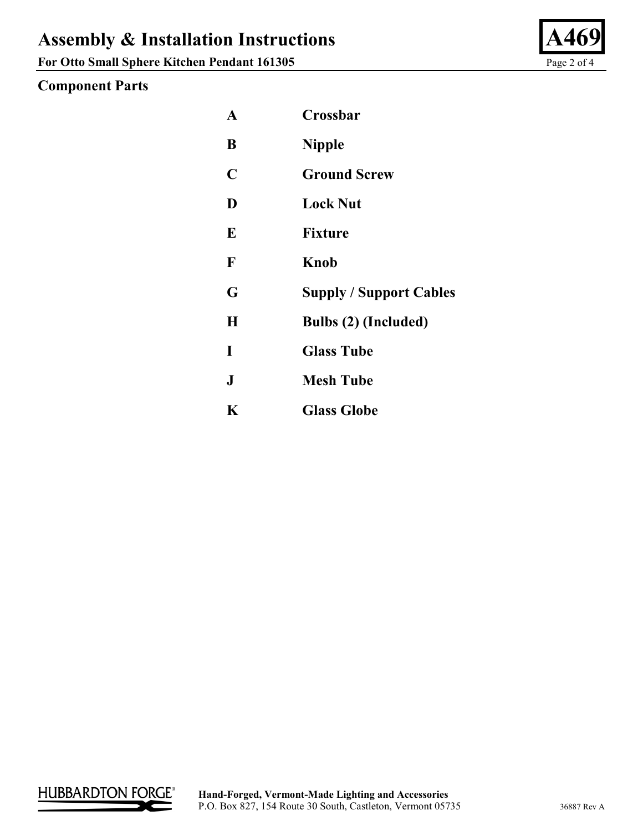**For Otto Small Sphere Kitchen Pendant 161305** Page 2 of 4

## **Component Parts**

| A            | Crossbar                       |
|--------------|--------------------------------|
| B            | <b>Nipple</b>                  |
| C            | <b>Ground Screw</b>            |
| D            | <b>Lock Nut</b>                |
| E            | <b>Fixture</b>                 |
| $\mathbf F$  | Knob                           |
| G            | <b>Supply / Support Cables</b> |
| H            | Bulbs (2) (Included)           |
| I            | <b>Glass Tube</b>              |
| $\mathbf{J}$ | <b>Mesh Tube</b>               |
| K            | <b>Glass Globe</b>             |



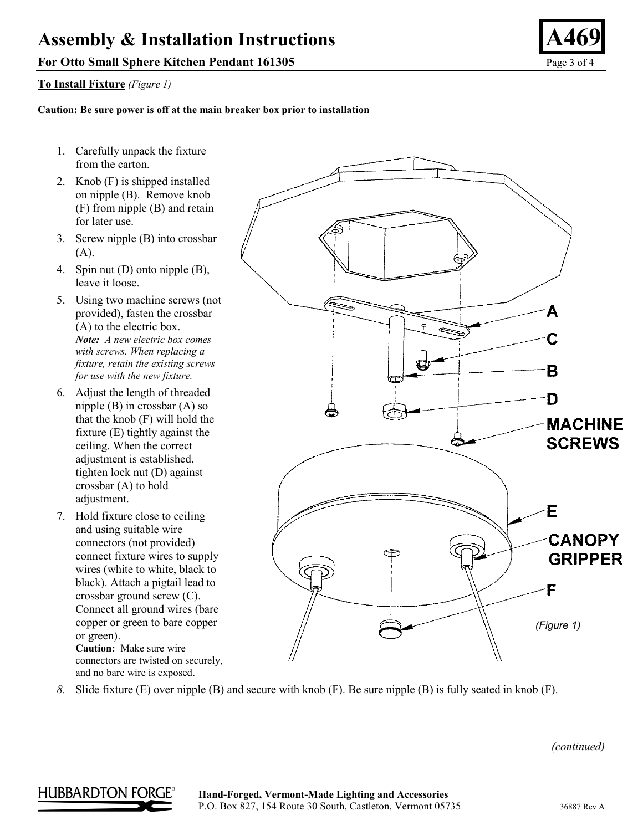### **For Otto Small Sphere Kitchen Pendant 161305** Page 3 of 4

#### **To Install Fixture** *(Figure 1)*

#### **Caution: Be sure power is off at the main breaker box prior to installation**

- 1. Carefully unpack the fixture from the carton.
- 2. Knob (F) is shipped installed on nipple (B). Remove knob (F) from nipple (B) and retain for later use.
- 3. Screw nipple (B) into crossbar (A).
- 4. Spin nut (D) onto nipple (B), leave it loose.
- 5. Using two machine screws (not provided), fasten the crossbar (A) to the electric box. *Note: A new electric box comes with screws. When replacing a fixture, retain the existing screws for use with the new fixture.*
- 6. Adjust the length of threaded nipple (B) in crossbar (A) so that the knob (F) will hold the fixture (E) tightly against the ceiling. When the correct adjustment is established, tighten lock nut (D) against crossbar (A) to hold adjustment.
- 7. Hold fixture close to ceiling and using suitable wire connectors (not provided) connect fixture wires to supply wires (white to white, black to black). Attach a pigtail lead to crossbar ground screw (C). Connect all ground wires (bare copper or green to bare copper or green). **Caution:** Make sure wire

connectors are twisted on securely, and no bare wire is exposed.



*8.* Slide fixture (E) over nipple (B) and secure with knob (F). Be sure nipple (B) is fully seated in knob (F).

**HUBBARDTON FORGE** 

#### **Hand-Forged, Vermont-Made Lighting and Accessories** P.O. Box 827, 154 Route 30 South, Castleton, Vermont 05735 36887 Rev A

 *(continued)*